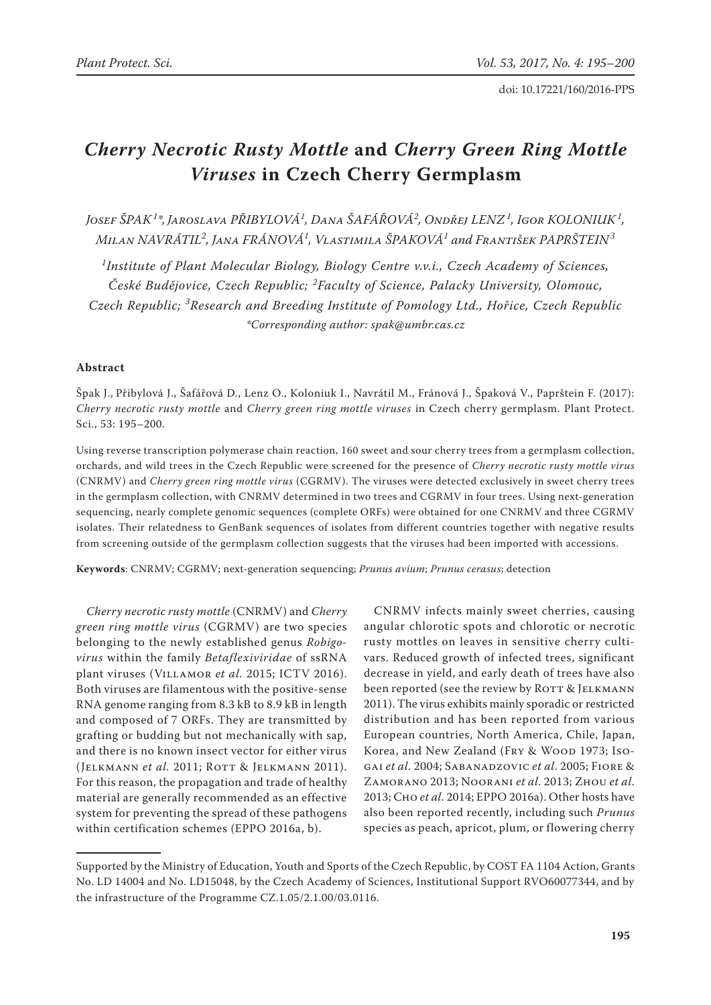# *Cherry Necrotic Rusty Mottle* **and** *Cherry Green Ring Mottle Viruses* **in Czech Cherry Germplasm**

*Josef ŠPAK<sup>1</sup> \*, Jaroslava PŘIBYLOVÁ<sup>1</sup> , Dana ŠAFÁŘOVÁ<sup>2</sup> , Ondřej LENZ<sup>1</sup> , Igor KOLONIUK<sup>1</sup> , Milan NAVRÁTIL<sup>2</sup> , Jana FRÁNOVÁ<sup>1</sup> , Vlastimila ŠPAKOVÁ<sup>1</sup> and František PAPRŠTEIN<sup>3</sup>*

*1 Institute of Plant Molecular Biology, Biology Centre v.v.i., Czech Academy of Sciences, České Budějovice, Czech Republic; <sup>2</sup> Faculty of Science, Palacky University, Olomouc, Czech Republic; <sup>3</sup> Research and Breeding Institute of Pomology Ltd., Hořice, Czech Republic \*Corresponding author: spak@umbr.cas.cz*

# **Abstract**

Špak J., Přibylová J., Šafářová D., Lenz O., Koloniuk I., Navrátil M., Fránová J., Špaková V., Paprštein F. (2017): *Cherry necrotic rusty mottle* and *Cherry green ring mottle viruses* in Czech cherry germplasm. Plant Protect. Sci., 53: 195–200.

Using reverse transcription polymerase chain reaction, 160 sweet and sour cherry trees from a germplasm collection, orchards, and wild trees in the Czech Republic were screened for the presence of *Cherry necrotic rusty mottle virus* (CNRMV) and *Cherry green ring mottle virus* (CGRMV). The viruses were detected exclusively in sweet cherry trees in the germplasm collection, with CNRMV determined in two trees and CGRMV in four trees. Using next-generation sequencing, nearly complete genomic sequences (complete ORFs) were obtained for one CNRMV and three CGRMV isolates. Their relatedness to GenBank sequences of isolates from different countries together with negative results from screening outside of the germplasm collection suggests that the viruses had been imported with accessions.

**Keywords**: CNRMV; CGRMV; next-generation sequencing; *Prunus avium*; *Prunus cerasus*; detection

*Cherry necrotic rusty mottle* (CNRMV) and *Cherry green ring mottle virus* (CGRMV) are two species belonging to the newly established genus *Robigovirus* within the family *Betaflexiviridae* of ssRNA plant viruses (VILLAMOR et al. 2015; ICTV 2016). Both viruses are filamentous with the positive-sense RNA genome ranging from 8.3 kB to 8.9 kB in length and composed of 7 ORFs. They are transmitted by grafting or budding but not mechanically with sap, and there is no known insect vector for either virus (JELKMANN *et al.* 2011; ROTT & JELKMANN 2011). For this reason, the propagation and trade of healthy material are generally recommended as an effective system for preventing the spread of these pathogens within certification schemes (EPPO 2016a, b).

CNRMV infects mainly sweet cherries, causing angular chlorotic spots and chlorotic or necrotic rusty mottles on leaves in sensitive cherry cultivars. Reduced growth of infected trees, significant decrease in yield, and early death of trees have also been reported (see the review by ROTT & JELKMANN 2011). The virus exhibits mainly sporadic or restricted distribution and has been reported from various European countries, North America, Chile, Japan, Korea, and New Zealand (FRY & WOOD 1973; Isogai *et al*. 2004; Sabanadzovic *et al*. 2005; Fiore & Zamorano 2013; Noorani *et al*. 2013; Zhou *et al*. 2013; Cho *et al.* 2014; EPPO 2016a). Other hosts have also been reported recently, including such *Prunus* species as peach, apricot, plum, or flowering cherry

Supported by the Ministry of Education, Youth and Sports of the Czech Republic, by COST FA 1104 Action, Grants No. LD 14004 and No. LD15048, by the Czech Academy of Sciences, Institutional Support RVO60077344, and by the infrastructure of the Programme CZ.1.05/2.1.00/03.0116.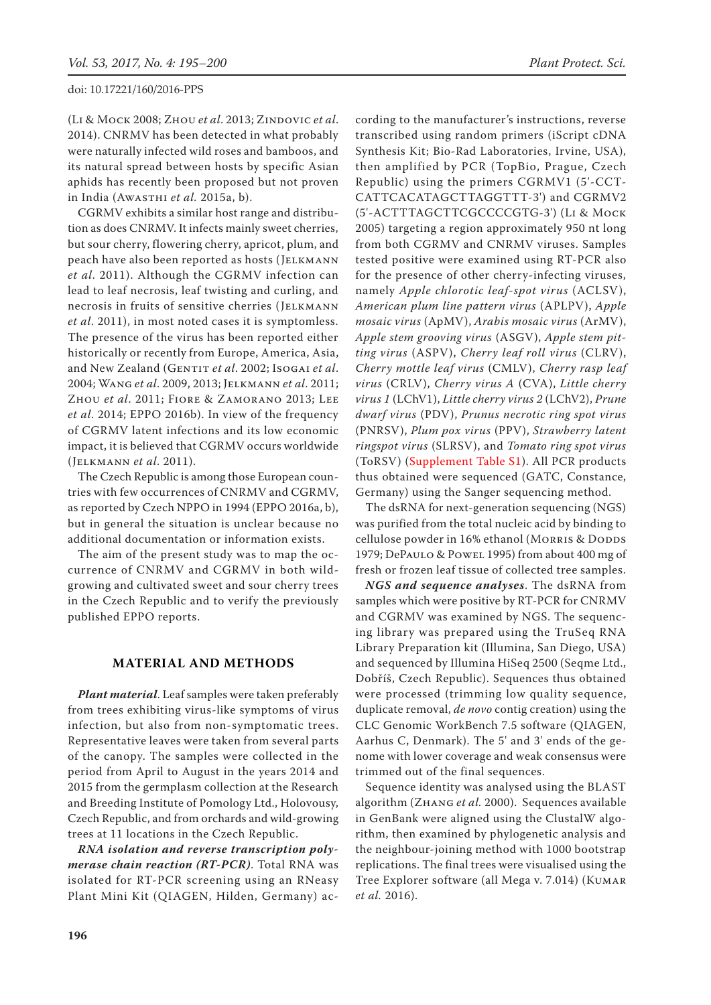(Li & Mock 2008; Zhou *et al*. 2013; Zindovic *et al*. 2014). CNRMV has been detected in what probably were naturally infected wild roses and bamboos, and its natural spread between hosts by specific Asian aphids has recently been proposed but not proven in India (Awasthi *et al.* 2015a, b).

CGRMV exhibits a similar host range and distribution as does CNRMV. It infects mainly sweet cherries, but sour cherry, flowering cherry, apricot, plum, and peach have also been reported as hosts (Jelkmann *et al*. 2011). Although the CGRMV infection can lead to leaf necrosis, leaf twisting and curling, and necrosis in fruits of sensitive cherries (JELKMANN *et al*. 2011), in most noted cases it is symptomless. The presence of the virus has been reported either historically or recently from Europe, America, Asia, and New Zealand (GENTIT et al. 2002; Isogai et al. 2004; Wang *et al*. 2009, 2013; Jelkmann *et al*. 2011; Zhou *et al*. 2011; Fiore & Zamorano 2013; Lee *et al*. 2014; EPPO 2016b). In view of the frequency of CGRMV latent infections and its low economic impact, it is believed that CGRMV occurs worldwide (Jelkmann *et al*. 2011).

The Czech Republic is among those European countries with few occurrences of CNRMV and CGRMV, as reported by Czech NPPO in 1994 (EPPO 2016a, b), but in general the situation is unclear because no additional documentation or information exists.

The aim of the present study was to map the occurrence of CNRMV and CGRMV in both wildgrowing and cultivated sweet and sour cherry trees in the Czech Republic and to verify the previously published EPPO reports.

## **MATERIAL AND METHODS**

*Plant material*. Leaf samples were taken preferably from trees exhibiting virus-like symptoms of virus infection, but also from non-symptomatic trees. Representative leaves were taken from several parts of the canopy. The samples were collected in the period from April to August in the years 2014 and 2015 from the germplasm collection at the Research and Breeding Institute of Pomology Ltd., Holovousy, Czech Republic, and from orchards and wild-growing trees at 11 locations in the Czech Republic.

*RNA isolation and reverse transcription polymerase chain reaction (RT-PCR)*. Total RNA was isolated for RT-PCR screening using an RNeasy Plant Mini Kit (QIAGEN, Hilden, Germany) ac-

cording to the manufacturer's instructions, reverse transcribed using random primers (iScript cDNA Synthesis Kit; Bio-Rad Laboratories, Irvine, USA), then amplified by PCR (TopBio, Prague, Czech Republic) using the primers CGRMV1 (5'-CCT-CATTCACATAGCTTAGGTTT-3') and CGRMV2 (5'-ACTTTAGCTTCGCCCCGTG-3') (Li & Mock 2005) targeting a region approximately 950 nt long from both CGRMV and CNRMV viruses. Samples tested positive were examined using RT-PCR also for the presence of other cherry-infecting viruses, namely *Apple chlorotic leaf-spot virus* (ACLSV), *American plum line pattern virus* (APLPV), *Apple mosaic virus* (ApMV), *Arabis mosaic virus* (ArMV), *Apple stem grooving virus* (ASGV), *Apple stem pitting virus* (ASPV), *Cherry leaf roll virus* (CLRV), *Cherry mottle leaf virus* (CMLV), *Cherry rasp leaf virus* (CRLV), *Cherry virus A* (CVA), *Little cherry virus 1* (LChV1), *Little cherry virus 2* (LChV2), *Prune dwarf virus* (PDV), *Prunus necrotic ring spot virus* (PNRSV), *Plum pox virus* (PPV), *Strawberry latent ringspot virus* (SLRSV), and *Tomato ring spot virus* (ToRSV) (Supplement Table S1). All PCR products thus obtained were sequenced (GATC, Constance, Germany) using the Sanger sequencing method.

The dsRNA for next-generation sequencing (NGS) was purified from the total nucleic acid by binding to cellulose powder in 16% ethanol (MORRIS & DODDS 1979; DePaulo & Powel 1995) from about 400 mg of fresh or frozen leaf tissue of collected tree samples.

*NGS and sequence analyses*. The dsRNA from samples which were positive by RT-PCR for CNRMV and CGRMV was examined by NGS. The sequencing library was prepared using the TruSeq RNA Library Preparation kit (Illumina, San Diego, USA) and sequenced by Illumina HiSeq 2500 (Seqme Ltd., Dobříš, Czech Republic). Sequences thus obtained were processed (trimming low quality sequence, duplicate removal, *de novo* contig creation) using the CLC Genomic WorkBench 7.5 software (QIAGEN, Aarhus C, Denmark). The 5' and 3' ends of the genome with lower coverage and weak consensus were trimmed out of the final sequences.

Sequence identity was analysed using the BLAST algorithm (Zhang *et al.* 2000). Sequences available in GenBank were aligned using the ClustalW algorithm, then examined by phylogenetic analysis and the neighbour-joining method with 1000 bootstrap replications. The final trees were visualised using the Tree Explorer software (all Mega v. 7.014) (Kumar *et al.* 2016).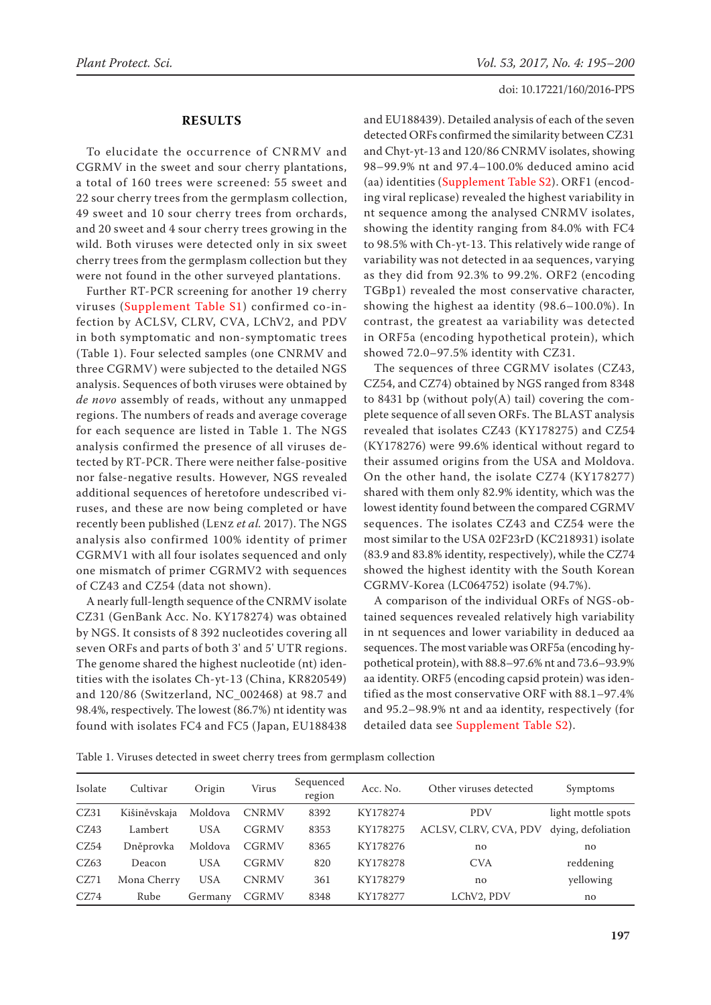## **RESULTS**

To elucidate the occurrence of CNRMV and CGRMV in the sweet and sour cherry plantations, a total of 160 trees were screened: 55 sweet and 22 sour cherry trees from the germplasm collection, 49 sweet and 10 sour cherry trees from orchards, and 20 sweet and 4 sour cherry trees growing in the wild. Both viruses were detected only in six sweet cherry trees from the germplasm collection but they were not found in the other surveyed plantations.

Further RT-PCR screening for another 19 cherry viruses (Supplement Table S1) confirmed co-infection by ACLSV, CLRV, CVA, LChV2, and PDV in both symptomatic and non-symptomatic trees (Table 1). Four selected samples (one CNRMV and three CGRMV) were subjected to the detailed NGS analysis. Sequences of both viruses were obtained by *de novo* assembly of reads, without any unmapped regions. The numbers of reads and average coverage for each sequence are listed in Table 1. The NGS analysis confirmed the presence of all viruses detected by RT-PCR. There were neither false-positive nor false-negative results. However, NGS revealed additional sequences of heretofore undescribed viruses, and these are now being completed or have recently been published (Lenz *et al.* 2017). The NGS analysis also confirmed 100% identity of primer CGRMV1 with all four isolates sequenced and only one mismatch of primer CGRMV2 with sequences of CZ43 and CZ54 (data not shown).

A nearly full-length sequence of the CNRMV isolate CZ31 (GenBank Acc. No. KY178274) was obtained by NGS. It consists of 8 392 nucleotides covering all seven ORFs and parts of both 3' and 5' UTR regions. The genome shared the highest nucleotide (nt) identities with the isolates Ch-yt-13 (China, KR820549) and 120/86 (Switzerland, NC\_002468) at 98.7 and 98.4%, respectively. The lowest (86.7%) nt identity was found with isolates FC4 and FC5 (Japan, EU188438 and EU188439). Detailed analysis of each of the seven detected ORFs confirmed the similarity between CZ31 and Chyt-yt-13 and 120/86 CNRMV isolates, showing 98–99.9% nt and 97.4–100.0% deduced amino acid (aa) identities (Supplement Table S2). ORF1 (encoding viral replicase) revealed the highest variability in nt sequence among the analysed CNRMV isolates, showing the identity ranging from 84.0% with FC4 to 98.5% with Ch-yt-13. This relatively wide range of variability was not detected in aa sequences, varying as they did from 92.3% to 99.2%. ORF2 (encoding TGBp1) revealed the most conservative character, showing the highest aa identity (98.6–100.0%). In contrast, the greatest aa variability was detected in ORF5a (encoding hypothetical protein), which showed 72.0–97.5% identity with CZ31.

The sequences of three CGRMV isolates (CZ43, CZ54, and CZ74) obtained by NGS ranged from 8348 to 8431 bp (without poly(A) tail) covering the complete sequence of all seven ORFs. The BLAST analysis revealed that isolates CZ43 (KY178275) and CZ54 (KY178276) were 99.6% identical without regard to their assumed origins from the USA and Moldova. On the other hand, the isolate CZ74 (KY178277) shared with them only 82.9% identity, which was the lowest identity found between the compared CGRMV sequences. The isolates CZ43 and CZ54 were the most similar to the USA 02F23rD (KC218931) isolate (83.9 and 83.8% identity, respectively), while the CZ74 showed the highest identity with the South Korean CGRMV-Korea (LC064752) isolate (94.7%).

A comparison of the individual ORFs of NGS-obtained sequences revealed relatively high variability in nt sequences and lower variability in deduced aa sequences. The most variable was ORF5a (encoding hypothetical protein), with 88.8–97.6% nt and 73.6–93.9% aa identity. ORF5 (encoding capsid protein) was identified as the most conservative ORF with 88.1–97.4% and 95.2–98.9% nt and aa identity, respectively (for detailed data see Supplement Table S2).

Table 1. Viruses detected in sweet cherry trees from germplasm collection

| Isolate | Cultivar     | Origin     | Virus        | Sequenced<br>region | Acc. No. | Other viruses detected | Symptoms           |
|---------|--------------|------------|--------------|---------------------|----------|------------------------|--------------------|
| CZ31    | Kišiněvskaja | Moldova    | <b>CNRMV</b> | 8392                | KY178274 | <b>PDV</b>             | light mottle spots |
| CZ43    | Lambert      | <b>USA</b> | <b>CGRMV</b> | 8353                | KY178275 | ACLSV, CLRV, CVA, PDV  | dying, defoliation |
| CZ54    | Dněprovka    | Moldova    | CGRMV        | 8365                | KY178276 | no                     | no                 |
| CZ63    | Deacon       | <b>USA</b> | <b>CGRMV</b> | 820                 | KY178278 | <b>CVA</b>             | reddening          |
| CZ71    | Mona Cherry  | <b>USA</b> | <b>CNRMV</b> | 361                 | KY178279 | no                     | yellowing          |
| CZ74    | Rube         | Germany    | <b>CGRMV</b> | 8348                | KY178277 | LChV2, PDV             | no                 |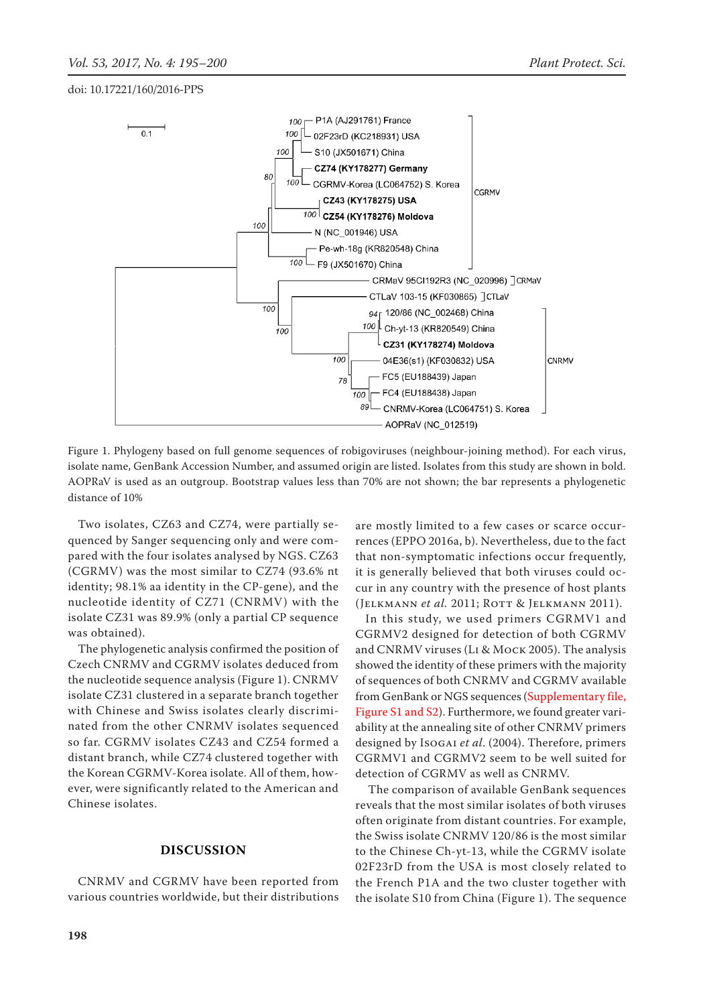

Figure 1. Phylogeny based on full genome sequences of robigoviruses (neighbour-joining method). For each virus, isolate name, GenBank Accession Number, and assumed origin are listed. Isolates from this study are shown in bold. AOPRaV is used as an outgroup. Bootstrap values less than 70% are not shown; the bar represents a phylogenetic distance of 10%

Two isolates, CZ63 and CZ74, were partially sequenced by Sanger sequencing only and were compared with the four isolates analysed by NGS. CZ63 (CGRMV) was the most similar to CZ74 (93.6% nt identity; 98.1% aa identity in the CP-gene), and the nucleotide identity of CZ71 (CNRMV) with the isolate CZ31 was 89.9% (only a partial CP sequence was obtained).

The phylogenetic analysis confirmed the position of Czech CNRMV and CGRMV isolates deduced from the nucleotide sequence analysis (Figure 1). CNRMV isolate CZ31 clustered in a separate branch together with Chinese and Swiss isolates clearly discriminated from the other CNRMV isolates sequenced so far. CGRMV isolates CZ43 and CZ54 formed a distant branch, while CZ74 clustered together with the Korean CGRMV-Korea isolate. All of them, however, were significantly related to the American and Chinese isolates.

#### **DISCUSSION**

CNRMV and CGRMV have been reported from various countries worldwide, but their distributions are mostly limited to a few cases or scarce occurrences (EPPO 2016a, b). Nevertheless, due to the fact that non-symptomatic infections occur frequently, it is generally believed that both viruses could occur in any country with the presence of host plants (Jelkmann *et al.* 2011; Rott & Jelkmann 2011).

In this study, we used primers CGRMV1 and CGRMV2 designed for detection of both CGRMV and CNRMV viruses (Li & Mock 2005). The analysis showed the identity of these primers with the majority of sequences of both CNRMV and CGRMV available from GenBank or NGS sequences (Supplementary file, Figure S1 and S2). Furthermore, we found greater variability at the annealing site of other CNRMV primers designed by Isogai *et al*. (2004). Therefore, primers CGRMV1 and CGRMV2 seem to be well suited for detection of CGRMV as well as CNRMV.

 The comparison of available GenBank sequences reveals that the most similar isolates of both viruses often originate from distant countries. For example, the Swiss isolate CNRMV 120/86 is the most similar to the Chinese Ch-yt-13, while the CGRMV isolate 02F23rD from the USA is most closely related to the French P1A and the two cluster together with the isolate S10 from China (Figure 1). The sequence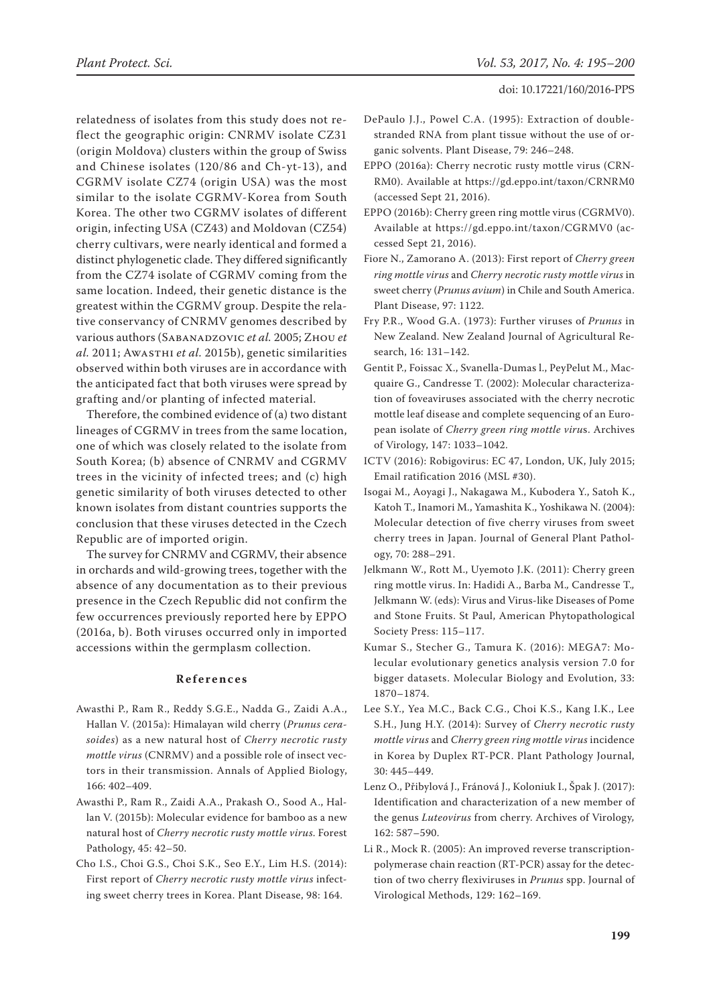relatedness of isolates from this study does not reflect the geographic origin: CNRMV isolate CZ31 (origin Moldova) clusters within the group of Swiss and Chinese isolates (120/86 and Ch-yt-13), and CGRMV isolate CZ74 (origin USA) was the most similar to the isolate CGRMV-Korea from South Korea. The other two CGRMV isolates of different origin, infecting USA (CZ43) and Moldovan (CZ54) cherry cultivars, were nearly identical and formed a distinct phylogenetic clade. They differed significantly from the CZ74 isolate of CGRMV coming from the same location. Indeed, their genetic distance is the greatest within the CGRMV group. Despite the relative conservancy of CNRMV genomes described by various authors (Sabanadzovic *et al.* 2005; Zhou *et al.* 2011; Awasthi *et al.* 2015b), genetic similarities observed within both viruses are in accordance with the anticipated fact that both viruses were spread by grafting and/or planting of infected material.

Therefore, the combined evidence of (a) two distant lineages of CGRMV in trees from the same location, one of which was closely related to the isolate from South Korea; (b) absence of CNRMV and CGRMV trees in the vicinity of infected trees; and (c) high genetic similarity of both viruses detected to other known isolates from distant countries supports the conclusion that these viruses detected in the Czech Republic are of imported origin.

The survey for CNRMV and CGRMV, their absence in orchards and wild-growing trees, together with the absence of any documentation as to their previous presence in the Czech Republic did not confirm the few occurrences previously reported here by EPPO (2016a, b). Both viruses occurred only in imported accessions within the germplasm collection.

## **References**

- Awasthi P., Ram R., Reddy S.G.E., Nadda G., Zaidi A.A., Hallan V. (2015a): Himalayan wild cherry (*Prunus cerasoides*) as a new natural host of *Cherry necrotic rusty mottle virus* (CNRMV) and a possible role of insect vectors in their transmission. Annals of Applied Biology, 166: 402–409.
- Awasthi P., Ram R., Zaidi A.A., Prakash O., Sood A., Hallan V. (2015b): Molecular evidence for bamboo as a new natural host of *Cherry necrotic rusty mottle virus*. Forest Pathology, 45: 42–50.
- Cho I.S., Choi G.S., Choi S.K., Seo E.Y., Lim H.S. (2014): First report of *Cherry necrotic rusty mottle virus* infecting sweet cherry trees in Korea. Plant Disease, 98: 164.
- DePaulo J.J., Powel C.A. (1995): Extraction of doublestranded RNA from plant tissue without the use of organic solvents. Plant Disease, 79: 246–248.
- EPPO (2016a): Cherry necrotic rusty mottle virus (CRN-RM0). Available at https://gd.eppo.int/taxon/CRNRM0 (accessed Sept 21, 2016).
- EPPO (2016b): Cherry green ring mottle virus (CGRMV0). Available at https://gd.eppo.int/taxon/CGRMV0 (accessed Sept 21, 2016).
- Fiore N., Zamorano A. (2013): First report of *Cherry green ring mottle virus* and *Cherry necrotic rusty mottle virus* in sweet cherry (*Prunus avium*) in Chile and South America. Plant Disease, 97: 1122.
- Fry P.R., Wood G.A. (1973): Further viruses of *Prunus* in New Zealand. New Zealand Journal of Agricultural Research, 16: 131–142.
- Gentit P., Foissac X., Svanella-Dumas l., PeyPelut M., Macquaire G., Candresse T. (2002): Molecular characterization of foveaviruses associated with the cherry necrotic mottle leaf disease and complete sequencing of an European isolate of *Cherry green ring mottle viru*s. Archives of Virology, 147: 1033–1042.
- ICTV (2016): Robigovirus: EC 47, London, UK, July 2015; Email ratification 2016 (MSL #30).
- Isogai M., Aoyagi J., Nakagawa M., Kubodera Y., Satoh K., Katoh T., Inamori M., Yamashita K., Yoshikawa N. (2004): Molecular detection of five cherry viruses from sweet cherry trees in Japan. Journal of General Plant Pathology, 70: 288–291.
- Jelkmann W., Rott M., Uyemoto J.K. (2011): Cherry green ring mottle virus. In: Hadidi A., Barba M.*,* Candresse T.*,*  Jelkmann W. (eds): Virus and Virus-like Diseases of Pome and Stone Fruits. St Paul, American Phytopathological Society Press: 115–117.
- Kumar S., Stecher G., Tamura K. (2016): MEGA7: Molecular evolutionary genetics analysis version 7.0 for bigger datasets. Molecular Biology and Evolution, 33: 1870–1874.
- Lee S.Y., Yea M.C., Back C.G., Choi K.S., Kang I.K., Lee S.H., Jung H.Y. (2014): Survey of *Cherry necrotic rusty mottle virus* and *Cherry green ring mottle virus* incidence in Korea by Duplex RT-PCR. Plant Pathology Journal, 30: 445–449.
- Lenz O., Přibylová J., Fránová J., Koloniuk I., Špak J. (2017): Identification and characterization of a new member of the genus *Luteovirus* from cherry. Archives of Virology*,* 162: 587–590.
- Li R., Mock R. (2005): An improved reverse transcriptionpolymerase chain reaction (RT-PCR) assay for the detection of two cherry flexiviruses in *Prunus* spp. Journal of Virological Methods, 129: 162–169.